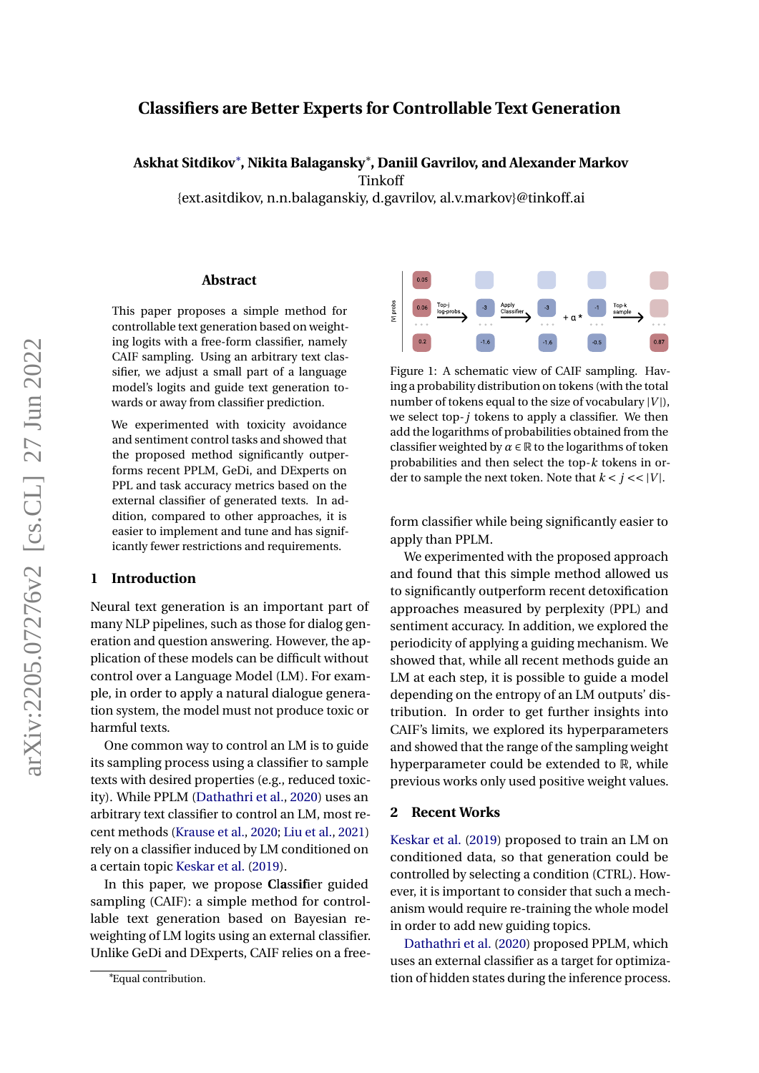# **Classifiers are Better Experts for Controllable Text Generation**

**Askhat Sitdikov**<sup>∗</sup> **, Nikita Balagansky**<sup>∗</sup> **, Daniil Gavrilov, and Alexander Markov**

Tinkoff

{ext.asitdikov, n.n.balaganskiy, d.gavrilov, al.v.markov}@tinkoff.ai

#### **Abstract**

This paper proposes a simple method for controllable text generation based on weighting logits with a free-form classifier, namely CAIF sampling. Using an arbitrary text classifier, we adjust a small part of a language model's logits and guide text generation towards or away from classifier prediction.

We experimented with toxicity avoidance and sentiment control tasks and showed that the proposed method significantly outperforms recent PPLM, GeDi, and DExperts on PPL and task accuracy metrics based on the external classifier of generated texts. In addition, compared to other approaches, it is easier to implement and tune and has significantly fewer restrictions and requirements.

## **1 Introduction**

Neural text generation is an important part of many NLP pipelines, such as those for dialog generation and question answering. However, the application of these models can be difficult without control over a Language Model (LM). For example, in order to apply a natural dialogue generation system, the model must not produce toxic or harmful texts.

One common way to control an LM is to guide its sampling process using a classifier to sample texts with desired properties (e.g., reduced toxicity). While PPLM [\(Dathathri et al.,](#page-6-0) [2020\)](#page-6-0) uses an arbitrary text classifier to control an LM, most recent methods [\(Krause et al.,](#page-7-0) [2020;](#page-7-0) [Liu et al.,](#page-7-1) [2021\)](#page-7-1) rely on a classifier induced by LM conditioned on a certain topic [Keskar et al.](#page-7-2) [\(2019\)](#page-7-2).

In this paper, we propose **C**l**a**ss**if**ier guided sampling (CAIF): a simple method for controllable text generation based on Bayesian reweighting of LM logits using an external classifier. Unlike GeDi and DExperts, CAIF relies on a free-

<span id="page-0-0"></span>

Figure 1: A schematic view of CAIF sampling. Having a probability distribution on tokens (with the total number of tokens equal to the size of vocabulary  $|V|$ ), we select top-*j* tokens to apply a classifier. We then add the logarithms of probabilities obtained from the classifier weighted by  $\alpha \in \mathbb{R}$  to the logarithms of token probabilities and then select the top-*k* tokens in order to sample the next token. Note that  $k < j << |V|$ .

form classifier while being significantly easier to apply than PPLM.

We experimented with the proposed approach and found that this simple method allowed us to significantly outperform recent detoxification approaches measured by perplexity (PPL) and sentiment accuracy. In addition, we explored the periodicity of applying a guiding mechanism. We showed that, while all recent methods guide an LM at each step, it is possible to guide a model depending on the entropy of an LM outputs' distribution. In order to get further insights into CAIF's limits, we explored its hyperparameters and showed that the range of the sampling weight hyperparameter could be extended to R, while previous works only used positive weight values.

#### **2 Recent Works**

[Keskar et al.](#page-7-2) [\(2019\)](#page-7-2) proposed to train an LM on conditioned data, so that generation could be controlled by selecting a condition (CTRL). However, it is important to consider that such a mechanism would require re-training the whole model in order to add new guiding topics.

[Dathathri et al.](#page-6-0) [\(2020\)](#page-6-0) proposed PPLM, which uses an external classifier as a target for optimization of hidden states during the inference process.

<sup>∗</sup>Equal contribution.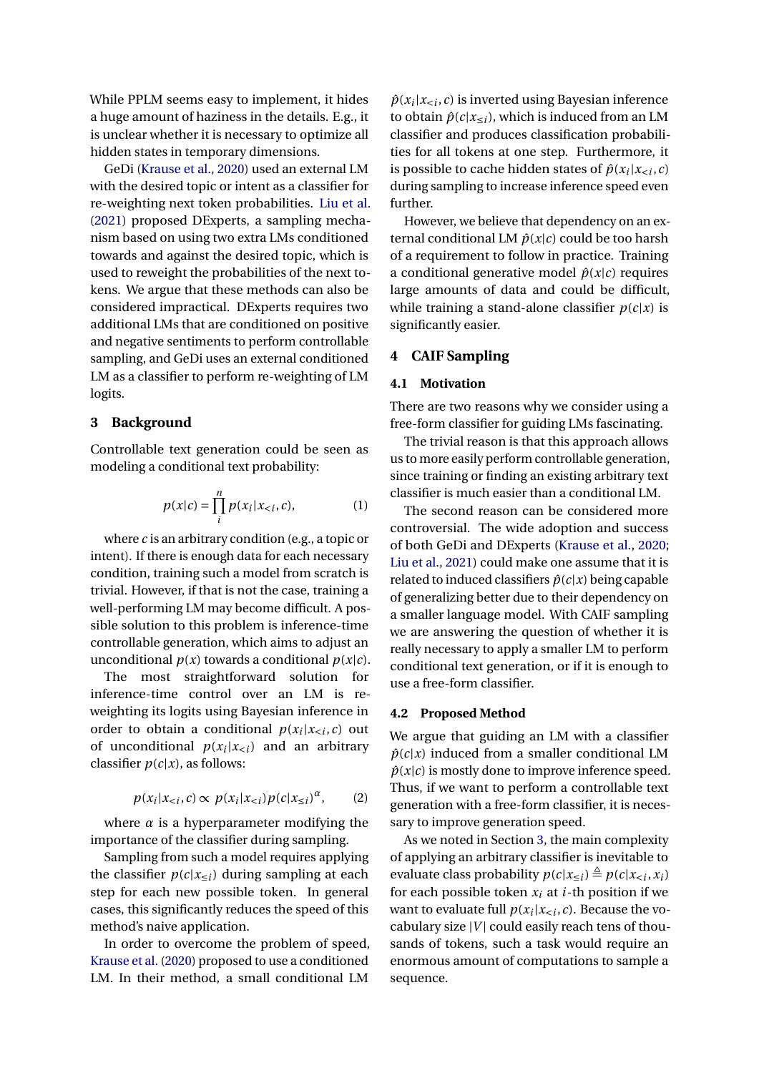While PPLM seems easy to implement, it hides a huge amount of haziness in the details. E.g., it is unclear whether it is necessary to optimize all hidden states in temporary dimensions.

GeDi [\(Krause et al.,](#page-7-0) [2020\)](#page-7-0) used an external LM with the desired topic or intent as a classifier for re-weighting next token probabilities. [Liu et al.](#page-7-1) [\(2021\)](#page-7-1) proposed DExperts, a sampling mechanism based on using two extra LMs conditioned towards and against the desired topic, which is used to reweight the probabilities of the next tokens. We argue that these methods can also be considered impractical. DExperts requires two additional LMs that are conditioned on positive and negative sentiments to perform controllable sampling, and GeDi uses an external conditioned LM as a classifier to perform re-weighting of LM logits.

## <span id="page-1-0"></span>**3 Background**

Controllable text generation could be seen as modeling a conditional text probability:

$$
p(x|c) = \prod_{i}^{n} p(x_i|x_{< i}, c), \tag{1}
$$

where *c* is an arbitrary condition (e.g., a topic or intent). If there is enough data for each necessary condition, training such a model from scratch is trivial. However, if that is not the case, training a well-performing LM may become difficult. A possible solution to this problem is inference-time controllable generation, which aims to adjust an unconditional  $p(x)$  towards a conditional  $p(x|c)$ .

The most straightforward solution for inference-time control over an LM is reweighting its logits using Bayesian inference in order to obtain a conditional  $p(x_i|x_{< i}, c)$  out of unconditional  $p(x_i|x_{< i})$  and an arbitrary classifier  $p(c|x)$ , as follows:

$$
p(x_i|x_{< i}, c) \propto p(x_i|x_{< i}) p(c|x_{\leq i})^{\alpha}, \qquad (2)
$$

where  $\alpha$  is a hyperparameter modifying the importance of the classifier during sampling.

Sampling from such a model requires applying the classifier  $p(c|x_{\leq i})$  during sampling at each step for each new possible token. In general cases, this significantly reduces the speed of this method's naive application.

In order to overcome the problem of speed, [Krause et al.](#page-7-0) [\(2020\)](#page-7-0) proposed to use a conditioned LM. In their method, a small conditional LM

 $\hat{p}(x_i|x_{ is inverted using Bayesian inference$ to obtain  $\hat{p}(c|x_{\leq i})$ , which is induced from an LM classifier and produces classification probabilities for all tokens at one step. Furthermore, it is possible to cache hidden states of  $\hat{p}(x_i|x_{< i}, c)$ during sampling to increase inference speed even further.

However, we believe that dependency on an external conditional LM  $\hat{p}(x|c)$  could be too harsh of a requirement to follow in practice. Training a conditional generative model  $\hat{p}(x|c)$  requires large amounts of data and could be difficult, while training a stand-alone classifier  $p(c|x)$  is significantly easier.

## **4 CAIF Sampling**

## **4.1 Motivation**

There are two reasons why we consider using a free-form classifier for guiding LMs fascinating.

The trivial reason is that this approach allows us to more easily perform controllable generation, since training or finding an existing arbitrary text classifier is much easier than a conditional LM.

The second reason can be considered more controversial. The wide adoption and success of both GeDi and DExperts [\(Krause et al.,](#page-7-0) [2020;](#page-7-0) [Liu et al.,](#page-7-1) [2021\)](#page-7-1) could make one assume that it is related to induced classifiers  $\hat{p}(c|x)$  being capable of generalizing better due to their dependency on a smaller language model. With CAIF sampling we are answering the question of whether it is really necessary to apply a smaller LM to perform conditional text generation, or if it is enough to use a free-form classifier.

#### **4.2 Proposed Method**

We argue that guiding an LM with a classifier  $\hat{p}(c|x)$  induced from a smaller conditional LM  $\hat{p}(x|c)$  is mostly done to improve inference speed. Thus, if we want to perform a controllable text generation with a free-form classifier, it is necessary to improve generation speed.

As we noted in Section [3,](#page-1-0) the main complexity of applying an arbitrary classifier is inevitable to evaluate class probability  $p(c|x_{\leq i}) \triangleq p(c|x_{$ for each possible token  $x_i$  at *i*-th position if we want to evaluate full  $p(x_i|x_{< i}, c)$ . Because the vocabulary size  $|V|$  could easily reach tens of thousands of tokens, such a task would require an enormous amount of computations to sample a sequence.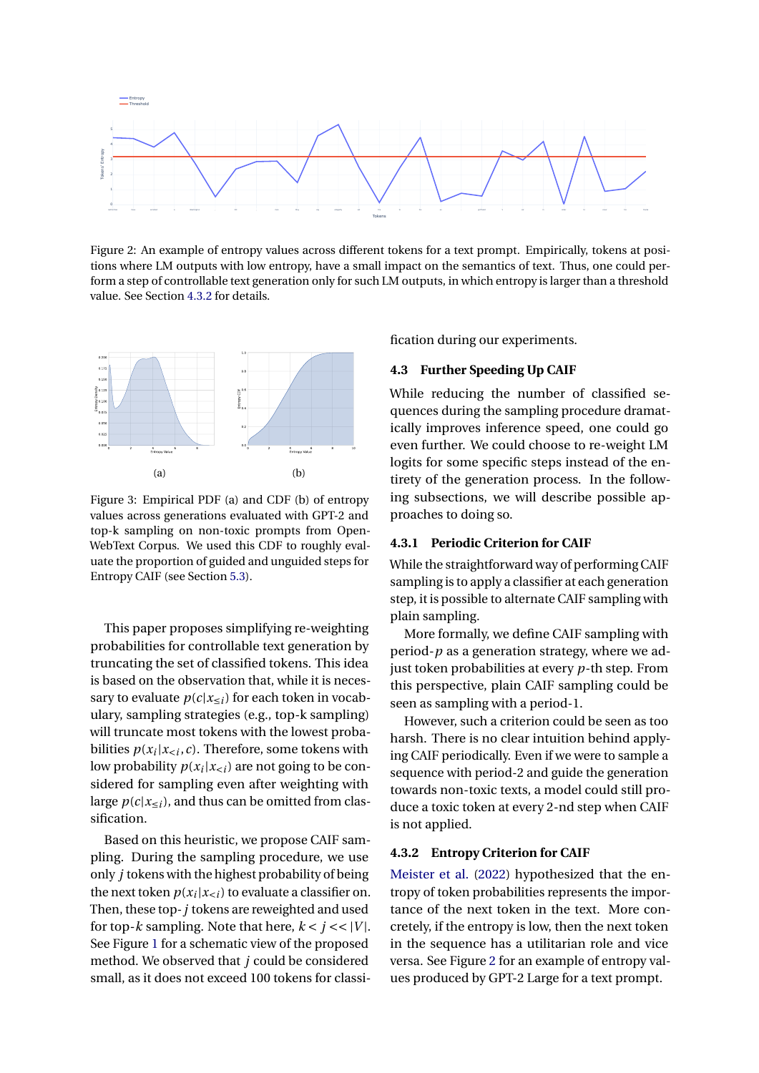<span id="page-2-1"></span>

Figure 2: An example of entropy values across different tokens for a text prompt. Empirically, tokens at positions where LM outputs with low entropy, have a small impact on the semantics of text. Thus, one could perform a step of controllable text generation only for such LM outputs, in which entropy is larger than a threshold value. See Section [4.3.2](#page-2-0) for details.

<span id="page-2-2"></span>

Figure 3: Empirical PDF (a) and CDF (b) of entropy values across generations evaluated with GPT-2 and top-k sampling on non-toxic prompts from Open-WebText Corpus. We used this CDF to roughly evaluate the proportion of guided and unguided steps for Entropy CAIF (see Section [5.3\)](#page-4-0).

This paper proposes simplifying re-weighting probabilities for controllable text generation by truncating the set of classified tokens. This idea is based on the observation that, while it is necessary to evaluate  $p(c|x_{\leq i})$  for each token in vocabulary, sampling strategies (e.g., top-k sampling) will truncate most tokens with the lowest probabilities  $p(x_i|x_{< i}, c)$ . Therefore, some tokens with low probability  $p(x_i|x_{< i})$  are not going to be considered for sampling even after weighting with large  $p(c|x_{\leq i})$ , and thus can be omitted from classification.

Based on this heuristic, we propose CAIF sampling. During the sampling procedure, we use only *j* tokens with the highest probability of being the next token  $p(x_i|x_{< i})$  to evaluate a classifier on. Then, these top-*j* tokens are reweighted and used for top- $k$  sampling. Note that here,  $k < j << |V|$ . See Figure [1](#page-0-0) for a schematic view of the proposed method. We observed that *j* could be considered small, as it does not exceed 100 tokens for classification during our experiments.

## **4.3 Further Speeding Up CAIF**

While reducing the number of classified sequences during the sampling procedure dramatically improves inference speed, one could go even further. We could choose to re-weight LM logits for some specific steps instead of the entirety of the generation process. In the following subsections, we will describe possible approaches to doing so.

#### **4.3.1 Periodic Criterion for CAIF**

While the straightforward way of performing CAIF sampling is to apply a classifier at each generation step, it is possible to alternate CAIF sampling with plain sampling.

More formally, we define CAIF sampling with period-*p* as a generation strategy, where we adjust token probabilities at every *p*-th step. From this perspective, plain CAIF sampling could be seen as sampling with a period-1.

However, such a criterion could be seen as too harsh. There is no clear intuition behind applying CAIF periodically. Even if we were to sample a sequence with period-2 and guide the generation towards non-toxic texts, a model could still produce a toxic token at every 2-nd step when CAIF is not applied.

#### <span id="page-2-0"></span>**4.3.2 Entropy Criterion for CAIF**

[Meister et al.](#page-7-3) [\(2022\)](#page-7-3) hypothesized that the entropy of token probabilities represents the importance of the next token in the text. More concretely, if the entropy is low, then the next token in the sequence has a utilitarian role and vice versa. See Figure [2](#page-2-1) for an example of entropy values produced by GPT-2 Large for a text prompt.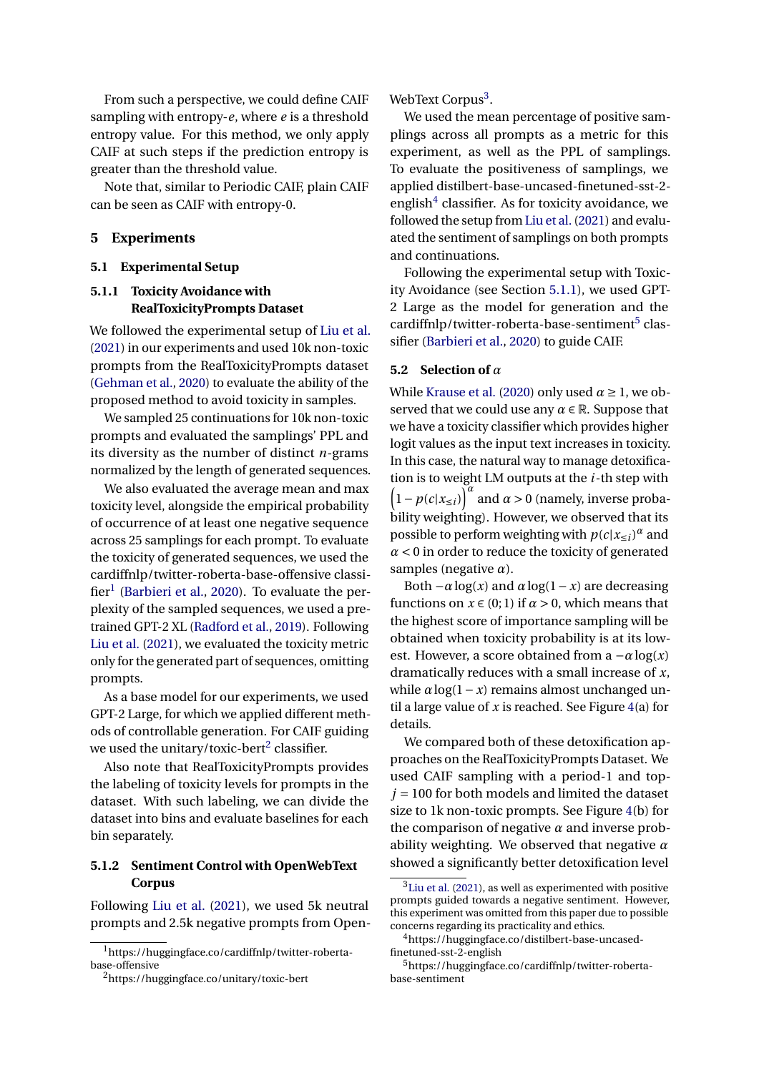From such a perspective, we could define CAIF sampling with entropy-*e*, where *e* is a threshold entropy value. For this method, we only apply CAIF at such steps if the prediction entropy is greater than the threshold value.

Note that, similar to Periodic CAIF, plain CAIF can be seen as CAIF with entropy-0.

#### **5 Experiments**

#### **5.1 Experimental Setup**

# <span id="page-3-4"></span>**5.1.1 Toxicity Avoidance with RealToxicityPrompts Dataset**

We followed the experimental setup of [Liu et al.](#page-7-1) [\(2021\)](#page-7-1) in our experiments and used 10k non-toxic prompts from the RealToxicityPrompts dataset [\(Gehman et al.,](#page-6-1) [2020\)](#page-6-1) to evaluate the ability of the proposed method to avoid toxicity in samples.

We sampled 25 continuations for 10k non-toxic prompts and evaluated the samplings' PPL and its diversity as the number of distinct *n*-grams normalized by the length of generated sequences.

We also evaluated the average mean and max toxicity level, alongside the empirical probability of occurrence of at least one negative sequence across 25 samplings for each prompt. To evaluate the toxicity of generated sequences, we used the cardiffnlp/twitter-roberta-base-offensive classi-fier<sup>[1](#page-3-0)</sup> [\(Barbieri et al.,](#page-6-2) [2020\)](#page-6-2). To evaluate the perplexity of the sampled sequences, we used a pretrained GPT-2 XL [\(Radford et al.,](#page-7-4) [2019\)](#page-7-4). Following [Liu et al.](#page-7-1) [\(2021\)](#page-7-1), we evaluated the toxicity metric only for the generated part of sequences, omitting prompts.

As a base model for our experiments, we used GPT-2 Large, for which we applied different methods of controllable generation. For CAIF guiding we used the unitary/toxic-bert $^2$  $^2$  classifier.

Also note that RealToxicityPrompts provides the labeling of toxicity levels for prompts in the dataset. With such labeling, we can divide the dataset into bins and evaluate baselines for each bin separately.

## <span id="page-3-7"></span>**5.1.2 Sentiment Control with OpenWebText Corpus**

Following [Liu et al.](#page-7-1) [\(2021\)](#page-7-1), we used 5k neutral prompts and 2.5k negative prompts from OpenWebText Corpus<sup>[3](#page-3-2)</sup>.

We used the mean percentage of positive samplings across all prompts as a metric for this experiment, as well as the PPL of samplings. To evaluate the positiveness of samplings, we applied distilbert-base-uncased-finetuned-sst-2- english<sup>[4](#page-3-3)</sup> classifier. As for toxicity avoidance, we followed the setup from [Liu et al.](#page-7-1) [\(2021\)](#page-7-1) and evaluated the sentiment of samplings on both prompts and continuations.

Following the experimental setup with Toxicity Avoidance (see Section [5.1.1\)](#page-3-4), we used GPT-2 Large as the model for generation and the cardiffnlp/twitter-roberta-base-sentiment<sup>[5](#page-3-5)</sup> classifier [\(Barbieri et al.,](#page-6-2) [2020\)](#page-6-2) to guide CAIF.

#### <span id="page-3-6"></span>**5.2 Selection of** *α*

While [Krause et al.](#page-7-0) [\(2020\)](#page-7-0) only used  $\alpha \geq 1$ , we observed that we could use any  $\alpha \in \mathbb{R}$ . Suppose that we have a toxicity classifier which provides higher logit values as the input text increases in toxicity. In this case, the natural way to manage detoxification is to weight LM outputs at the *i*-th step with  $\left(1-p(c|x_{\leq i})\right)^{\alpha}$  and  $\alpha > 0$  (namely, inverse probability weighting). However, we observed that its possible to perform weighting with  $p(c|x \leq i)^{\alpha}$  and *α* < 0 in order to reduce the toxicity of generated samples (negative *α*).

Both  $-\alpha \log(x)$  and  $\alpha \log(1-x)$  are decreasing functions on  $x \in (0, 1)$  if  $\alpha > 0$ , which means that the highest score of importance sampling will be obtained when toxicity probability is at its lowest. However, a score obtained from  $a - a \log(x)$ dramatically reduces with a small increase of *x*, while  $\alpha \log(1 - x)$  remains almost unchanged until a large value of  $x$  is reached. See Figure  $4(a)$  $4(a)$  for details.

We compared both of these detoxification approaches on the RealToxicityPrompts Dataset. We used CAIF sampling with a period-1 and top $j = 100$  for both models and limited the dataset size to 1k non-toxic prompts. See Figure [4\(](#page-4-1)b) for the comparison of negative *α* and inverse probability weighting. We observed that negative *α* showed a significantly better detoxification level

<span id="page-3-0"></span><sup>1</sup>https://huggingface.co/cardiffnlp/twitter-robertabase-offensive

<span id="page-3-1"></span><sup>2</sup>https://huggingface.co/unitary/toxic-bert

<span id="page-3-2"></span> $3$ [Liu et al.](#page-7-1) [\(2021\)](#page-7-1), as well as experimented with positive prompts guided towards a negative sentiment. However, this experiment was omitted from this paper due to possible concerns regarding its practicality and ethics.

<span id="page-3-3"></span><sup>4</sup>https://huggingface.co/distilbert-base-uncasedfinetuned-sst-2-english

<span id="page-3-5"></span><sup>5</sup>https://huggingface.co/cardiffnlp/twitter-robertabase-sentiment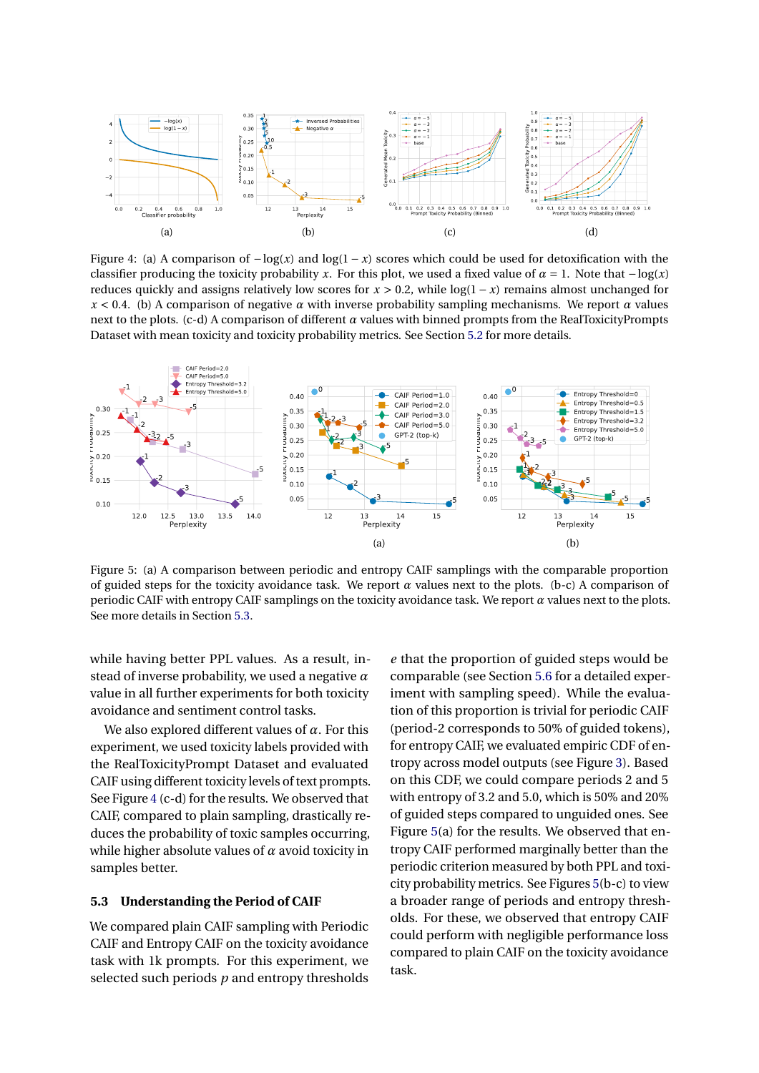<span id="page-4-1"></span>

Figure 4: (a) A comparison of −log(*x*) and log(1 − *x*) scores which could be used for detoxification with the classifier producing the toxicity probability *x*. For this plot, we used a fixed value of  $\alpha = 1$ . Note that  $-\log(x)$ reduces quickly and assigns relatively low scores for  $x > 0.2$ , while  $log(1 - x)$  remains almost unchanged for  $x < 0.4$ . (b) A comparison of negative *α* with inverse probability sampling mechanisms. We report *α* values next to the plots. (c-d) A comparison of different *α* values with binned prompts from the RealToxicityPrompts Dataset with mean toxicity and toxicity probability metrics. See Section [5.2](#page-3-6) for more details.

<span id="page-4-2"></span>

Figure 5: (a) A comparison between periodic and entropy CAIF samplings with the comparable proportion of guided steps for the toxicity avoidance task. We report  $\alpha$  values next to the plots. (b-c) A comparison of periodic CAIF with entropy CAIF samplings on the toxicity avoidance task. We report  $\alpha$  values next to the plots. See more details in Section [5.3.](#page-4-0)

while having better PPL values. As a result, instead of inverse probability, we used a negative *α* value in all further experiments for both toxicity avoidance and sentiment control tasks.

We also explored different values of *α*. For this experiment, we used toxicity labels provided with the RealToxicityPrompt Dataset and evaluated CAIF using different toxicity levels of text prompts. See Figure [4](#page-4-1) (c-d) for the results. We observed that CAIF, compared to plain sampling, drastically reduces the probability of toxic samples occurring, while higher absolute values of *α* avoid toxicity in samples better.

#### <span id="page-4-0"></span>**5.3 Understanding the Period of CAIF**

We compared plain CAIF sampling with Periodic CAIF and Entropy CAIF on the toxicity avoidance task with 1k prompts. For this experiment, we selected such periods *p* and entropy thresholds

*e* that the proportion of guided steps would be comparable (see Section [5.6](#page-5-0) for a detailed experiment with sampling speed). While the evaluation of this proportion is trivial for periodic CAIF (period-2 corresponds to 50% of guided tokens), for entropy CAIF, we evaluated empiric CDF of entropy across model outputs (see Figure [3\)](#page-2-2). Based on this CDF, we could compare periods 2 and 5 with entropy of 3.2 and 5.0, which is 50% and 20% of guided steps compared to unguided ones. See Figure [5\(](#page-4-2)a) for the results. We observed that entropy CAIF performed marginally better than the periodic criterion measured by both PPL and toxicity probability metrics. See Figures [5\(](#page-4-2)b-c) to view a broader range of periods and entropy thresholds. For these, we observed that entropy CAIF could perform with negligible performance loss compared to plain CAIF on the toxicity avoidance task.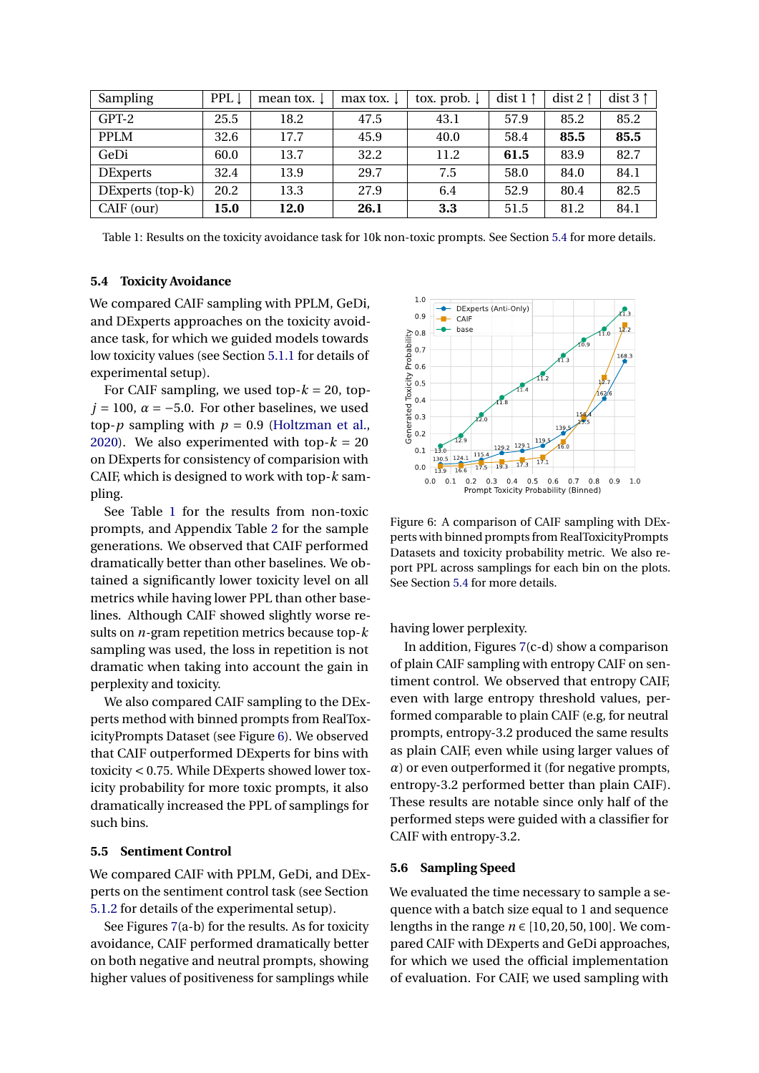<span id="page-5-2"></span>

| Sampling         | PPL J | mean tox. | $\max$ tox. $\lfloor$ | tox. prob. $\downarrow$ | dist $1 \uparrow$ | dist 2 $\uparrow$ | dist $3 \uparrow$ |
|------------------|-------|-----------|-----------------------|-------------------------|-------------------|-------------------|-------------------|
| GPT-2            | 25.5  | 18.2      | 47.5                  | 43.1                    | 57.9              | 85.2              | 85.2              |
| <b>PPLM</b>      | 32.6  | 17.7      | 45.9                  | 40.0                    | 58.4              | 85.5              | 85.5              |
| GeDi             | 60.0  | 13.7      | 32.2                  | 11.2                    | 61.5              | 83.9              | 82.7              |
| <b>DExperts</b>  | 32.4  | 13.9      | 29.7                  | 7.5                     | 58.0              | 84.0              | 84.1              |
| DExperts (top-k) | 20.2  | 13.3      | 27.9                  | 6.4                     | 52.9              | 80.4              | 82.5              |
| CAIF (our)       | 15.0  | 12.0      | 26.1                  | 3.3                     | 51.5              | 81.2              | 84.1              |

Table 1: Results on the toxicity avoidance task for 10k non-toxic prompts. See Section [5.4](#page-5-1) for more details.

## <span id="page-5-1"></span>**5.4 Toxicity Avoidance**

We compared CAIF sampling with PPLM, GeDi, and DExperts approaches on the toxicity avoidance task, for which we guided models towards low toxicity values (see Section [5.1.1](#page-3-4) for details of experimental setup).

For CAIF sampling, we used top- $k = 20$ , top $j = 100$ ,  $\alpha = -5.0$ . For other baselines, we used top- $p$  sampling with  $p = 0.9$  [\(Holtzman et al.,](#page-6-3) [2020\)](#page-6-3). We also experimented with top- $k = 20$ on DExperts for consistency of comparision with CAIF, which is designed to work with top-*k* sampling.

See Table [1](#page-5-2) for the results from non-toxic prompts, and Appendix Table [2](#page-8-0) for the sample generations. We observed that CAIF performed dramatically better than other baselines. We obtained a significantly lower toxicity level on all metrics while having lower PPL than other baselines. Although CAIF showed slightly worse results on *n*-gram repetition metrics because top-*k* sampling was used, the loss in repetition is not dramatic when taking into account the gain in perplexity and toxicity.

We also compared CAIF sampling to the DExperts method with binned prompts from RealToxicityPrompts Dataset (see Figure [6\)](#page-5-3). We observed that CAIF outperformed DExperts for bins with toxicity < 0.75. While DExperts showed lower toxicity probability for more toxic prompts, it also dramatically increased the PPL of samplings for such bins.

# <span id="page-5-4"></span>**5.5 Sentiment Control**

We compared CAIF with PPLM, GeDi, and DExperts on the sentiment control task (see Section [5.1.2](#page-3-7) for details of the experimental setup).

See Figures [7\(](#page-6-4)a-b) for the results. As for toxicity avoidance, CAIF performed dramatically better on both negative and neutral prompts, showing higher values of positiveness for samplings while

<span id="page-5-3"></span>

Figure 6: A comparison of CAIF sampling with DExperts with binned prompts from RealToxicityPrompts Datasets and toxicity probability metric. We also report PPL across samplings for each bin on the plots. See Section [5.4](#page-5-1) for more details.

having lower perplexity.

In addition, Figures [7\(](#page-6-4)c-d) show a comparison of plain CAIF sampling with entropy CAIF on sentiment control. We observed that entropy CAIF, even with large entropy threshold values, performed comparable to plain CAIF (e.g, for neutral prompts, entropy-3.2 produced the same results as plain CAIF, even while using larger values of  $\alpha$ ) or even outperformed it (for negative prompts, entropy-3.2 performed better than plain CAIF). These results are notable since only half of the performed steps were guided with a classifier for CAIF with entropy-3.2.

#### <span id="page-5-0"></span>**5.6 Sampling Speed**

We evaluated the time necessary to sample a sequence with a batch size equal to 1 and sequence lengths in the range  $n \in [10, 20, 50, 100]$ . We compared CAIF with DExperts and GeDi approaches, for which we used the official implementation of evaluation. For CAIF, we used sampling with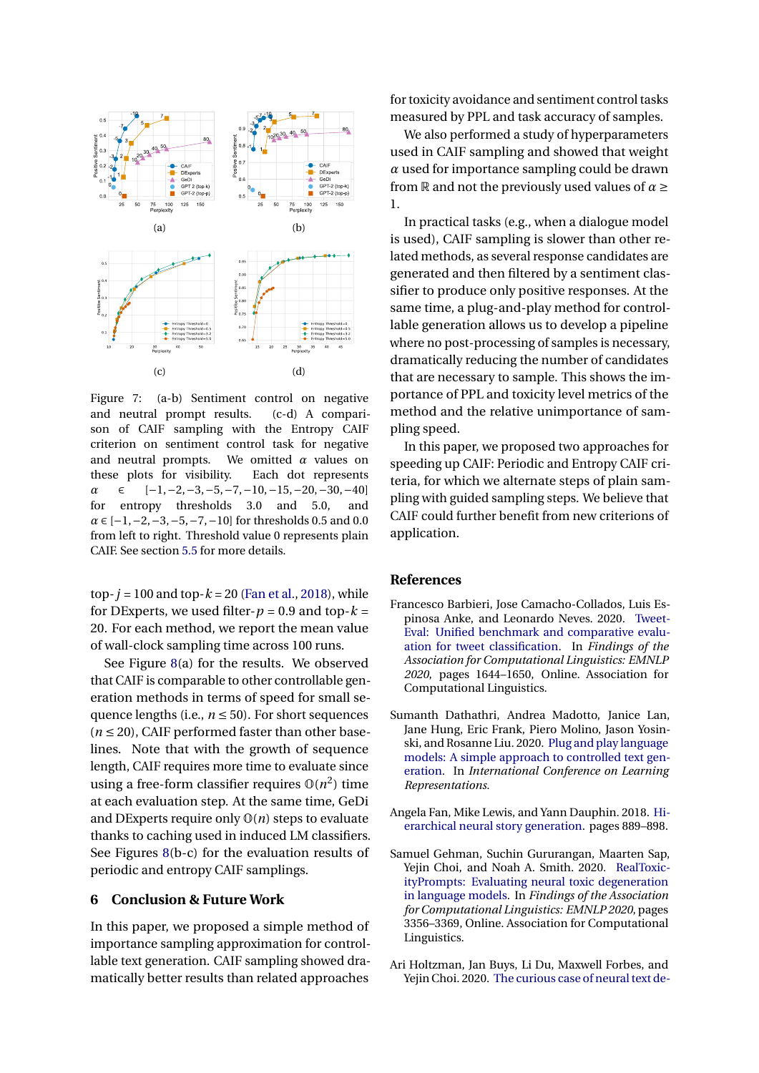<span id="page-6-4"></span>

Figure 7: (a-b) Sentiment control on negative and neutral prompt results. (c-d) A comparison of CAIF sampling with the Entropy CAIF criterion on sentiment control task for negative and neutral prompts. We omitted *α* values on these plots for visibility. Each dot represents *α* ∈ [−1,−2,−3,−5,−7,−10,−15,−20,−30,−40] for entropy thresholds 3.0 and 5.0, and *α* ∈ [−1,−2,−3,−5,−7,−10] for thresholds 0.5 and 0.0 from left to right. Threshold value 0 represents plain CAIF. See section [5.5](#page-5-4) for more details.

top- $j = 100$  and top- $k = 20$  [\(Fan et al.,](#page-6-5) [2018\)](#page-6-5), while for DExperts, we used filter- $p = 0.9$  and top- $k =$ 20. For each method, we report the mean value of wall-clock sampling time across 100 runs.

See Figure [8\(](#page-7-5)a) for the results. We observed that CAIF is comparable to other controllable generation methods in terms of speed for small sequence lengths (i.e.,  $n \le 50$ ). For short sequences  $(n \leq 20)$ , CAIF performed faster than other baselines. Note that with the growth of sequence length, CAIF requires more time to evaluate since using a free-form classifier requires  $\mathcal{O}(n^2)$  time at each evaluation step. At the same time, GeDi and DExperts require only  $\mathbb{O}(n)$  steps to evaluate thanks to caching used in induced LM classifiers. See Figures [8\(](#page-7-5)b-c) for the evaluation results of periodic and entropy CAIF samplings.

# **6 Conclusion & Future Work**

In this paper, we proposed a simple method of importance sampling approximation for controllable text generation. CAIF sampling showed dramatically better results than related approaches for toxicity avoidance and sentiment control tasks measured by PPL and task accuracy of samples.

We also performed a study of hyperparameters used in CAIF sampling and showed that weight *α* used for importance sampling could be drawn from  $\mathbb R$  and not the previously used values of  $\alpha \geq 0$ 1.

In practical tasks (e.g., when a dialogue model is used), CAIF sampling is slower than other related methods, as several response candidates are generated and then filtered by a sentiment classifier to produce only positive responses. At the same time, a plug-and-play method for controllable generation allows us to develop a pipeline where no post-processing of samples is necessary, dramatically reducing the number of candidates that are necessary to sample. This shows the importance of PPL and toxicity level metrics of the method and the relative unimportance of sampling speed.

In this paper, we proposed two approaches for speeding up CAIF: Periodic and Entropy CAIF criteria, for which we alternate steps of plain sampling with guided sampling steps. We believe that CAIF could further benefit from new criterions of application.

## **References**

- <span id="page-6-2"></span>Francesco Barbieri, Jose Camacho-Collados, Luis Espinosa Anke, and Leonardo Neves. 2020. [Tweet-](https://doi.org/10.18653/v1/2020.findings-emnlp.148)[Eval: Unified benchmark and comparative evalu](https://doi.org/10.18653/v1/2020.findings-emnlp.148)[ation for tweet classification.](https://doi.org/10.18653/v1/2020.findings-emnlp.148) In *Findings of the Association for Computational Linguistics: EMNLP 2020*, pages 1644–1650, Online. Association for Computational Linguistics.
- <span id="page-6-0"></span>Sumanth Dathathri, Andrea Madotto, Janice Lan, Jane Hung, Eric Frank, Piero Molino, Jason Yosinski, and Rosanne Liu. 2020. [Plug and play language](https://openreview.net/forum?id=H1edEyBKDS) [models: A simple approach to controlled text gen](https://openreview.net/forum?id=H1edEyBKDS)[eration.](https://openreview.net/forum?id=H1edEyBKDS) In *International Conference on Learning Representations*.
- <span id="page-6-5"></span>Angela Fan, Mike Lewis, and Yann Dauphin. 2018. [Hi](https://doi.org/10.18653/v1/P18-1082)[erarchical neural story generation.](https://doi.org/10.18653/v1/P18-1082) pages 889–898.
- <span id="page-6-1"></span>Samuel Gehman, Suchin Gururangan, Maarten Sap, Yejin Choi, and Noah A. Smith. 2020. [RealToxic](https://doi.org/10.18653/v1/2020.findings-emnlp.301)[ityPrompts: Evaluating neural toxic degeneration](https://doi.org/10.18653/v1/2020.findings-emnlp.301) [in language models.](https://doi.org/10.18653/v1/2020.findings-emnlp.301) In *Findings of the Association for Computational Linguistics: EMNLP 2020*, pages 3356–3369, Online. Association for Computational Linguistics.
- <span id="page-6-3"></span>Ari Holtzman, Jan Buys, Li Du, Maxwell Forbes, and Yejin Choi. 2020. [The curious case of neural text de-](https://openreview.net/forum?id=rygGQyrFvH)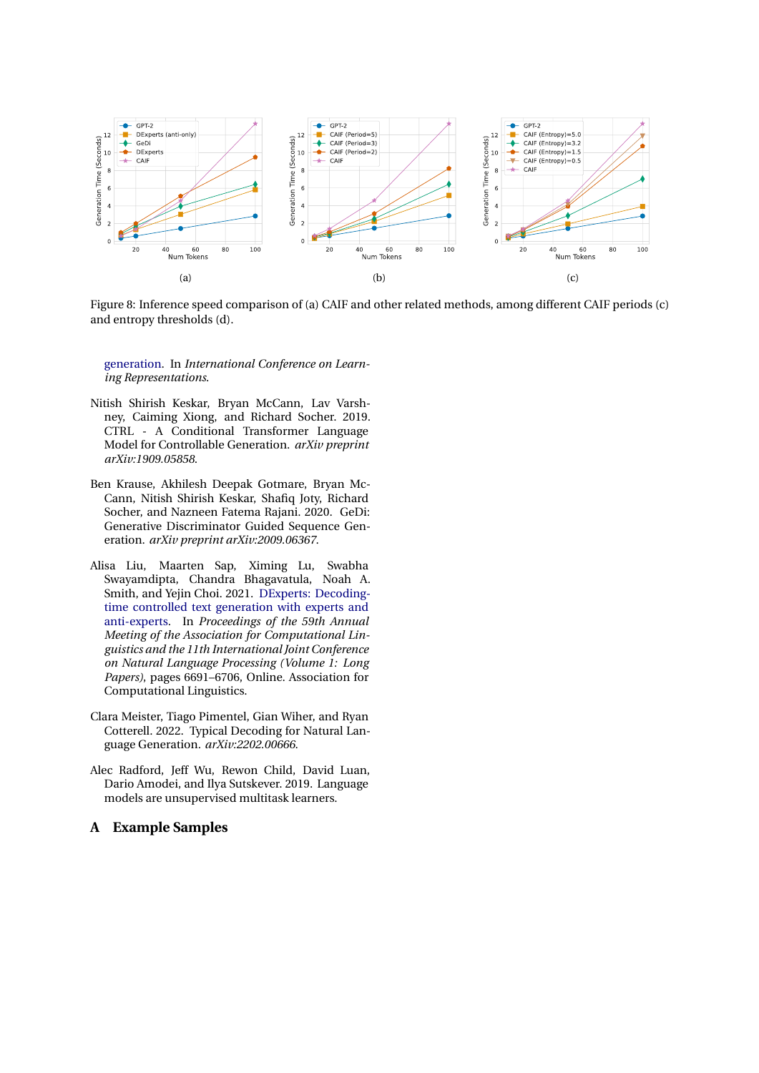<span id="page-7-5"></span>

Figure 8: Inference speed comparison of (a) CAIF and other related methods, among different CAIF periods (c) and entropy thresholds (d).

[generation.](https://openreview.net/forum?id=rygGQyrFvH) In *International Conference on Learning Representations*.

- <span id="page-7-2"></span>Nitish Shirish Keskar, Bryan McCann, Lav Varshney, Caiming Xiong, and Richard Socher. 2019. CTRL - A Conditional Transformer Language Model for Controllable Generation. *arXiv preprint arXiv:1909.05858*.
- <span id="page-7-0"></span>Ben Krause, Akhilesh Deepak Gotmare, Bryan Mc-Cann, Nitish Shirish Keskar, Shafiq Joty, Richard Socher, and Nazneen Fatema Rajani. 2020. GeDi: Generative Discriminator Guided Sequence Generation. *arXiv preprint arXiv:2009.06367*.
- <span id="page-7-1"></span>Alisa Liu, Maarten Sap, Ximing Lu, Swabha Swayamdipta, Chandra Bhagavatula, Noah A. Smith, and Yejin Choi. 2021. [DExperts: Decoding](https://doi.org/10.18653/v1/2021.acl-long.522)[time controlled text generation with experts and](https://doi.org/10.18653/v1/2021.acl-long.522) [anti-experts.](https://doi.org/10.18653/v1/2021.acl-long.522) In *Proceedings of the 59th Annual Meeting of the Association for Computational Linguistics and the 11th International Joint Conference on Natural Language Processing (Volume 1: Long Papers)*, pages 6691–6706, Online. Association for Computational Linguistics.
- <span id="page-7-3"></span>Clara Meister, Tiago Pimentel, Gian Wiher, and Ryan Cotterell. 2022. Typical Decoding for Natural Language Generation. *arXiv:2202.00666*.
- <span id="page-7-4"></span>Alec Radford, Jeff Wu, Rewon Child, David Luan, Dario Amodei, and Ilya Sutskever. 2019. Language models are unsupervised multitask learners.

## **A Example Samples**